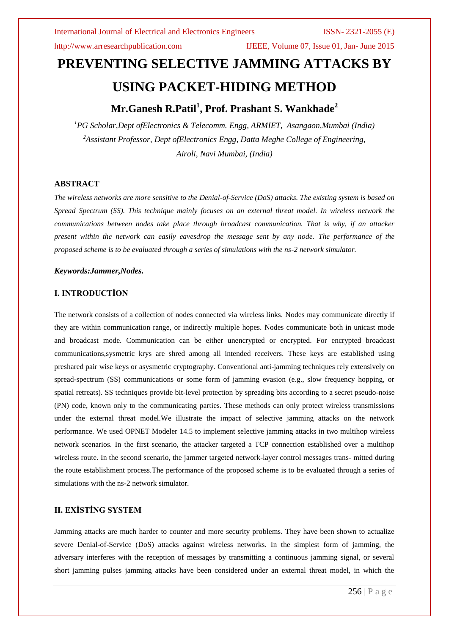http://www.arresearchpublication.com IJEEE, Volume 07, Issue 01, Jan- June 2015

# **PREVENTING SELECTIVE JAMMING ATTACKS BY USING PACKET-HIDING METHOD**

## **Mr.Ganesh R.Patil<sup>1</sup> , Prof. Prashant S. Wankhade<sup>2</sup>**

*<sup>1</sup>PG Scholar,Dept ofElectronics & Telecomm. Engg, ARMIET, Asangaon,Mumbai (India) <sup>2</sup>Assistant Professor, Dept ofElectronics Engg, Datta Meghe College of Engineering, Airoli, Navi Mumbai, (India)*

### **ABSTRACT**

*The wireless networks are more sensitive to the Denial-of-Service (DoS) attacks. The existing system is based on Spread Spectrum (SS). This technique mainly focuses on an external threat model. In wireless network the communications between nodes take place through broadcast communication. That is why, if an attacker present within the network can easily eavesdrop the message sent by any node. The performance of the proposed scheme is to be evaluated through a series of simulations with the ns-2 network simulator.*

### *Keywords:Jammer,Nodes.*

### **I. INTRODUCTİON**

The network consists of a collection of nodes connected via wireless links. Nodes may communicate directly if they are within communication range, or indirectly multiple hopes. Nodes communicate both in unicast mode and broadcast mode. Communication can be either unencrypted or encrypted. For encrypted broadcast communications,sysmetric krys are shred among all intended receivers. These keys are established using preshared pair wise keys or asysmetric cryptography. Conventional anti-jamming techniques rely extensively on spread-spectrum (SS) communications or some form of jamming evasion (e.g., slow frequency hopping, or spatial retreats). SS techniques provide bit-level protection by spreading bits according to a secret pseudo-noise (PN) code, known only to the communicating parties. These methods can only protect wireless transmissions under the external threat model.We illustrate the impact of selective jamming attacks on the network performance. We used OPNET Modeler 14.5 to implement selective jamming attacks in two multihop wireless network scenarios. In the first scenario, the attacker targeted a TCP connection established over a multihop wireless route. In the second scenario, the jammer targeted network-layer control messages trans- mitted during the route establishment process.The performance of the proposed scheme is to be evaluated through a series of simulations with the ns-2 network simulator.

### **II. EXİSTİNG SYSTEM**

Jamming attacks are much harder to counter and more security problems. They have been shown to actualize severe Denial-of-Service (DoS) attacks against wireless networks. In the simplest form of jamming, the adversary interferes with the reception of messages by transmitting a continuous jamming signal, or several short jamming pulses jamming attacks have been considered under an external threat model, in which the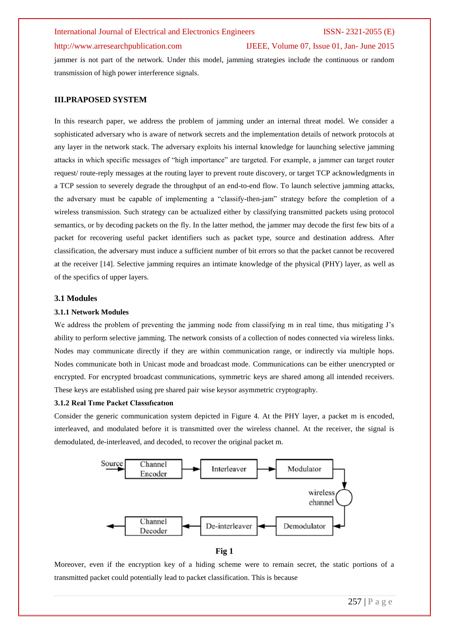### http://www.arresearchpublication.com IJEEE, Volume 07, Issue 01, Jan- June 2015

jammer is not part of the network. Under this model, jamming strategies include the continuous or random transmission of high power interference signals.

### **III.PRAPOSED SYSTEM**

In this research paper, we address the problem of jamming under an internal threat model. We consider a sophisticated adversary who is aware of network secrets and the implementation details of network protocols at any layer in the network stack. The adversary exploits his internal knowledge for launching selective jamming attacks in which specific messages of "high importance" are targeted. For example, a jammer can target router request/ route-reply messages at the routing layer to prevent route discovery, or target TCP acknowledgments in a TCP session to severely degrade the throughput of an end-to-end flow. To launch selective jamming attacks, the adversary must be capable of implementing a "classify-then-jam" strategy before the completion of a wireless transmission. Such strategy can be actualized either by classifying transmitted packets using protocol semantics, or by decoding packets on the fly. In the latter method, the jammer may decode the first few bits of a packet for recovering useful packet identifiers such as packet type, source and destination address. After classification, the adversary must induce a sufficient number of bit errors so that the packet cannot be recovered at the receiver [14]. Selective jamming requires an intimate knowledge of the physical (PHY) layer, as well as of the specifics of upper layers.

### **3.1 Modules**

### **3.1.1 Network Modules**

We address the problem of preventing the jamming node from classifying m in real time, thus mitigating J's ability to perform selective jamming. The network consists of a collection of nodes connected via wireless links. Nodes may communicate directly if they are within communication range, or indirectly via multiple hops. Nodes communicate both in Unicast mode and broadcast mode. Communications can be either unencrypted or encrypted. For encrypted broadcast communications, symmetric keys are shared among all intended receivers. These keys are established using pre shared pair wise keysor asymmetric cryptography.

### **3.1.2 Real Tıme Packet Classıfıcatıon**

Consider the generic communication system depicted in Figure 4. At the PHY layer, a packet m is encoded, interleaved, and modulated before it is transmitted over the wireless channel. At the receiver, the signal is demodulated, de-interleaved, and decoded, to recover the original packet m.



### **Fig 1**

Moreover, even if the encryption key of a hiding scheme were to remain secret, the static portions of a transmitted packet could potentially lead to packet classification. This is because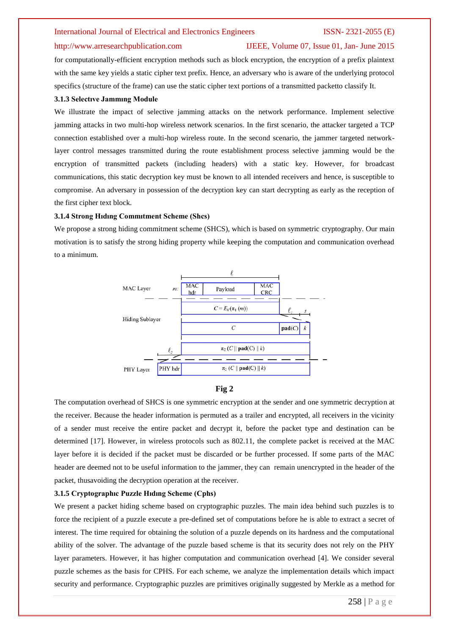### http://www.arresearchpublication.com IJEEE, Volume 07, Issue 01, Jan- June 2015

for computationally-efficient encryption methods such as block encryption, the encryption of a prefix plaintext with the same key yields a static cipher text prefix. Hence, an adversary who is aware of the underlying protocol specifics (structure of the frame) can use the static cipher text portions of a transmitted packetto classify It.

### **3.1.3 Selectıve Jammıng Module**

We illustrate the impact of selective jamming attacks on the network performance. Implement selective jamming attacks in two multi-hop wireless network scenarios. In the first scenario, the attacker targeted a TCP connection established over a multi-hop wireless route. In the second scenario, the jammer targeted networklayer control messages transmitted during the route establishment process selective jamming would be the encryption of transmitted packets (including headers) with a static key. However, for broadcast communications, this static decryption key must be known to all intended receivers and hence, is susceptible to compromise. An adversary in possession of the decryption key can start decrypting as early as the reception of the first cipher text block.

### **3.1.4 Strong Hıdıng Commıtment Scheme (Shcs)**

We propose a strong hiding commitment scheme (SHCS), which is based on symmetric cryptography. Our main motivation is to satisfy the strong hiding property while keeping the computation and communication overhead to a minimum.



### **Fig 2**

The computation overhead of SHCS is one symmetric encryption at the sender and one symmetric decryption at the receiver. Because the header information is permuted as a trailer and encrypted, all receivers in the vicinity of a sender must receive the entire packet and decrypt it, before the packet type and destination can be determined [17]. However, in wireless protocols such as 802.11, the complete packet is received at the MAC layer before it is decided if the packet must be discarded or be further processed. If some parts of the MAC header are deemed not to be useful information to the jammer, they can remain unencrypted in the header of the packet, thusavoiding the decryption operation at the receiver.

### **3.1.5 Cryptographıc Puzzle Hıdıng Scheme (Cphs)**

We present a packet hiding scheme based on cryptographic puzzles. The main idea behind such puzzles is to force the recipient of a puzzle execute a pre-defined set of computations before he is able to extract a secret of interest. The time required for obtaining the solution of a puzzle depends on its hardness and the computational ability of the solver. The advantage of the puzzle based scheme is that its security does not rely on the PHY layer parameters. However, it has higher computation and communication overhead [4]. We consider several puzzle schemes as the basis for CPHS. For each scheme, we analyze the implementation details which impact security and performance. Cryptographic puzzles are primitives originally suggested by Merkle as a method for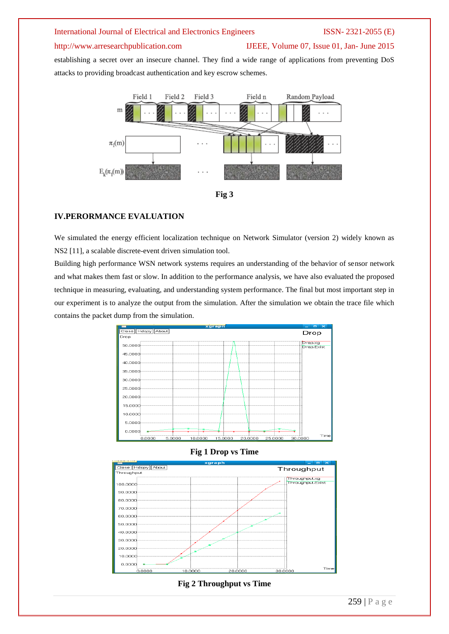### http://www.arresearchpublication.com IJEEE, Volume 07, Issue 01, Jan- June 2015

establishing a secret over an insecure channel. They find a wide range of applications from preventing DoS attacks to providing broadcast authentication and key escrow schemes.





### **IV.PERORMANCE EVALUATION**

We simulated the energy efficient localization technique on Network Simulator (version 2) widely known as NS2 [11], a scalable discrete-event driven simulation tool.

Building high performance WSN network systems requires an understanding of the behavior of sensor network and what makes them fast or slow. In addition to the performance analysis, we have also evaluated the proposed technique in measuring, evaluating, and understanding system performance. The final but most important step in our experiment is to analyze the output from the simulation. After the simulation we obtain the trace file which contains the packet dump from the simulation.



**Fig 1 Drop vs Time**



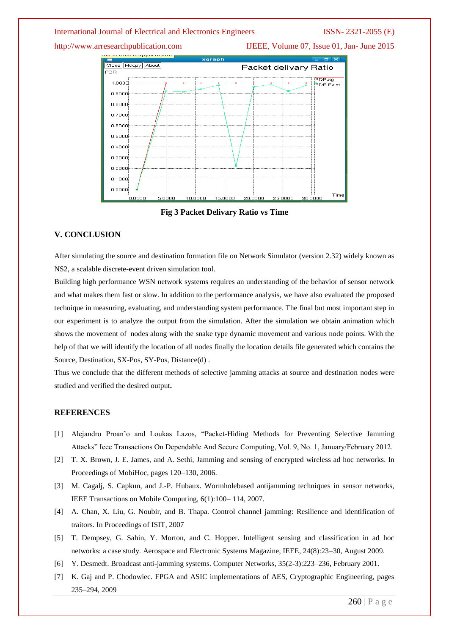http://www.arresearchpublication.com IJEEE, Volume 07, Issue 01, Jan- June 2015



**Fig 3 Packet Delivary Ratio vs Time**

### **V. CONCLUSION**

After simulating the source and destination formation file on Network Simulator (version 2.32) widely known as NS2, a scalable discrete-event driven simulation tool.

Building high performance WSN network systems requires an understanding of the behavior of sensor network and what makes them fast or slow. In addition to the performance analysis, we have also evaluated the proposed technique in measuring, evaluating, and understanding system performance. The final but most important step in our experiment is to analyze the output from the simulation. After the simulation we obtain animation which shows the movement of nodes along with the snake type dynamic movement and various node points. With the help of that we will identify the location of all nodes finally the location details file generated which contains the Source, Destination, SX-Pos, SY-Pos, Distance(d) .

Thus we conclude that the different methods of selective jamming attacks at source and destination nodes were studied and verified the desired output**.**

### **REFERENCES**

- [1] Alejandro Proan˜o and Loukas Lazos, "Packet-Hiding Methods for Preventing Selective Jamming Attacks" Ieee Transactions On Dependable And Secure Computing, Vol. 9, No. 1, January/February 2012.
- [2] T. X. Brown, J. E. James, and A. Sethi, Jamming and sensing of encrypted wireless ad hoc networks. In Proceedings of MobiHoc, pages 120–130, 2006.
- [3] M. Cagalj, S. Capkun, and J.-P. Hubaux. Wormholebased antijamming techniques in sensor networks, IEEE Transactions on Mobile Computing, 6(1):100– 114, 2007.
- [4] A. Chan, X. Liu, G. Noubir, and B. Thapa. Control channel jamming: Resilience and identification of traitors. In Proceedings of ISIT, 2007
- [5] T. Dempsey, G. Sahin, Y. Morton, and C. Hopper. Intelligent sensing and classification in ad hoc networks: a case study. Aerospace and Electronic Systems Magazine, IEEE, 24(8):23–30, August 2009.
- [6] Y. Desmedt. Broadcast anti-jamming systems. Computer Networks, 35(2-3):223–236, February 2001.
- [7] K. Gaj and P. Chodowiec. FPGA and ASIC implementations of AES, Cryptographic Engineering, pages 235–294, 2009